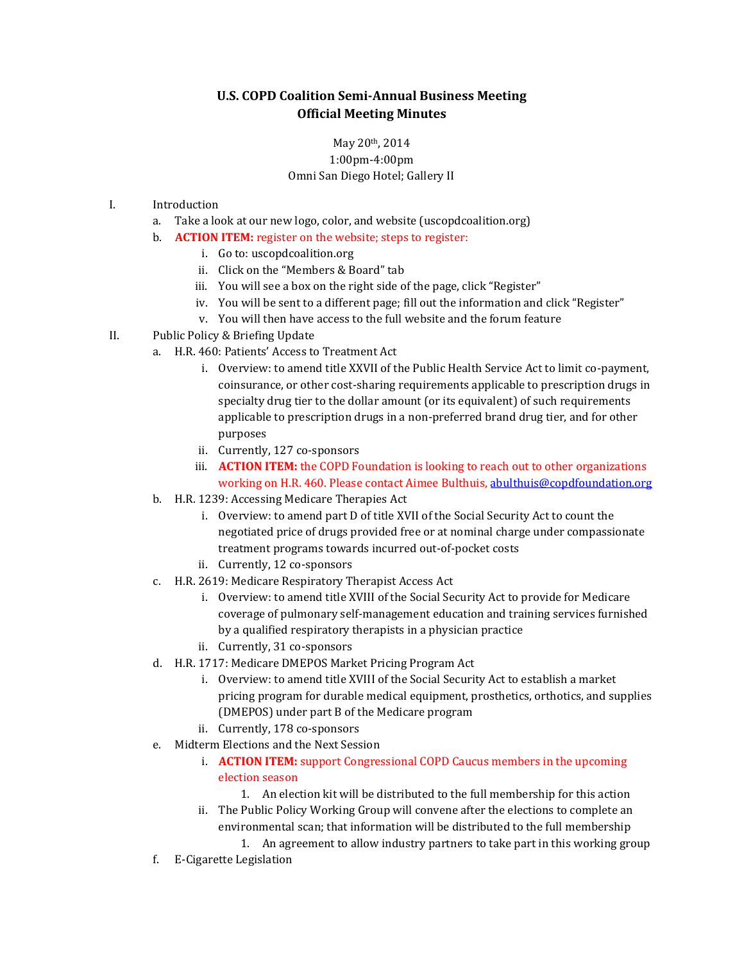## **U.S. COPD Coalition Semi-Annual Business Meeting Official Meeting Minutes**

## May 20th, 2014 1:00pm-4:00pm Omni San Diego Hotel; Gallery II

- I. Introduction
	- a. Take a look at our new logo, color, and website (uscopdcoalition.org)
	- b. **ACTION ITEM:** register on the website; steps to register:
		- i. Go to: uscopdcoalition.org
		- ii. Click on the "Members & Board" tab
		- iii. You will see a box on the right side of the page, click "Register"
		- iv. You will be sent to a different page; fill out the information and click "Register"
		- v. You will then have access to the full website and the forum feature
- II. Public Policy & Briefing Update
	- a. H.R. 460: Patients' Access to Treatment Act
		- i. Overview: to amend title XXVII of the Public Health Service Act to limit co-payment, coinsurance, or other cost-sharing requirements applicable to prescription drugs in specialty drug tier to the dollar amount (or its equivalent) of such requirements applicable to prescription drugs in a non-preferred brand drug tier, and for other purposes
		- ii. Currently, 127 co-sponsors
		- iii. **ACTION ITEM:** the COPD Foundation is looking to reach out to other organizations working on H.R. 460. Please contact Aimee Bulthuis, [abulthuis@copdfoundation.org](mailto:abulthuis@copdfoundation.org)
	- b. H.R. 1239: Accessing Medicare Therapies Act
		- i. Overview: to amend part D of title XVII of the Social Security Act to count the negotiated price of drugs provided free or at nominal charge under compassionate treatment programs towards incurred out-of-pocket costs
		- ii. Currently, 12 co-sponsors
	- c. H.R. 2619: Medicare Respiratory Therapist Access Act
		- i. Overview: to amend title XVIII of the Social Security Act to provide for Medicare coverage of pulmonary self-management education and training services furnished by a qualified respiratory therapists in a physician practice
		- ii. Currently, 31 co-sponsors
	- d. H.R. 1717: Medicare DMEPOS Market Pricing Program Act
		- i. Overview: to amend title XVIII of the Social Security Act to establish a market pricing program for durable medical equipment, prosthetics, orthotics, and supplies (DMEPOS) under part B of the Medicare program
		- ii. Currently, 178 co-sponsors
	- e. Midterm Elections and the Next Session
		- i. **ACTION ITEM:** support Congressional COPD Caucus members in the upcoming election season
			- 1. An election kit will be distributed to the full membership for this action
		- ii. The Public Policy Working Group will convene after the elections to complete an environmental scan; that information will be distributed to the full membership
			- 1. An agreement to allow industry partners to take part in this working group
	- f. E-Cigarette Legislation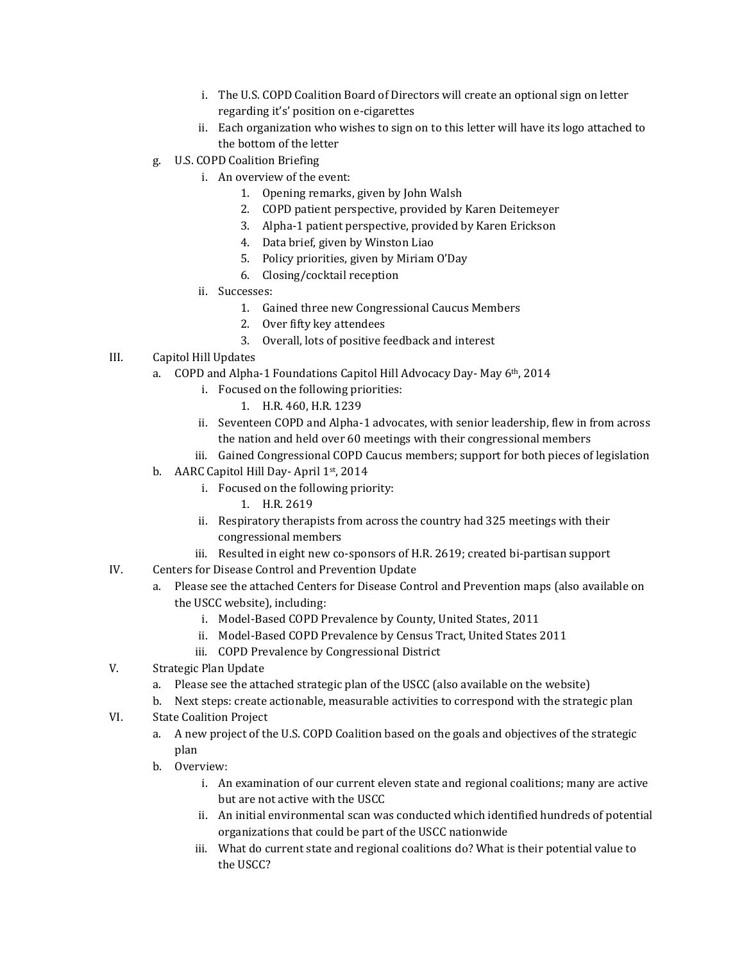- i. The U.S. COPD Coalition Board of Directors will create an optional sign on letter regarding it's' position on e-cigarettes
- ii. Each organization who wishes to sign on to this letter will have its logo attached to the bottom of the letter
- g. U.S. COPD Coalition Briefing
	- i. An overview of the event:
		- 1. Opening remarks, given by John Walsh
		- 2. COPD patient perspective, provided by Karen Deitemeyer
		- 3. Alpha-1 patient perspective, provided by Karen Erickson
		- 4. Data brief, given by Winston Liao
		- 5. Policy priorities, given by Miriam O'Day
		- 6. Closing/cocktail reception
		- ii. Successes:
			- 1. Gained three new Congressional Caucus Members
			- 2. Over fifty key attendees
			- 3. Overall, lots of positive feedback and interest
- III. Capitol Hill Updates
	- a. COPD and Alpha-1 Foundations Capitol Hill Advocacy Day- May 6th, 2014
		- i. Focused on the following priorities:
			- 1. H.R. 460, H.R. 1239
		- ii. Seventeen COPD and Alpha-1 advocates, with senior leadership, flew in from across the nation and held over 60 meetings with their congressional members
		- iii. Gained Congressional COPD Caucus members; support for both pieces of legislation
	- b. AARC Capitol Hill Day- April 1st, 2014
		- i. Focused on the following priority:
			- 1. H.R. 2619
		- ii. Respiratory therapists from across the country had 325 meetings with their congressional members
		- iii. Resulted in eight new co-sponsors of H.R. 2619; created bi-partisan support
- IV. Centers for Disease Control and Prevention Update
	- a. Please see the attached Centers for Disease Control and Prevention maps (also available on the USCC website), including:
		- i. Model-Based COPD Prevalence by County, United States, 2011
		- ii. Model-Based COPD Prevalence by Census Tract, United States 2011
		- iii. COPD Prevalence by Congressional District
- V. Strategic Plan Update
	- a. Please see the attached strategic plan of the USCC (also available on the website)
	- b. Next steps: create actionable, measurable activities to correspond with the strategic plan
- VI. State Coalition Project
	- a. A new project of the U.S. COPD Coalition based on the goals and objectives of the strategic plan
	- b. Overview:
		- i. An examination of our current eleven state and regional coalitions; many are active but are not active with the USCC
		- ii. An initial environmental scan was conducted which identified hundreds of potential organizations that could be part of the USCC nationwide
		- iii. What do current state and regional coalitions do? What is their potential value to the USCC?